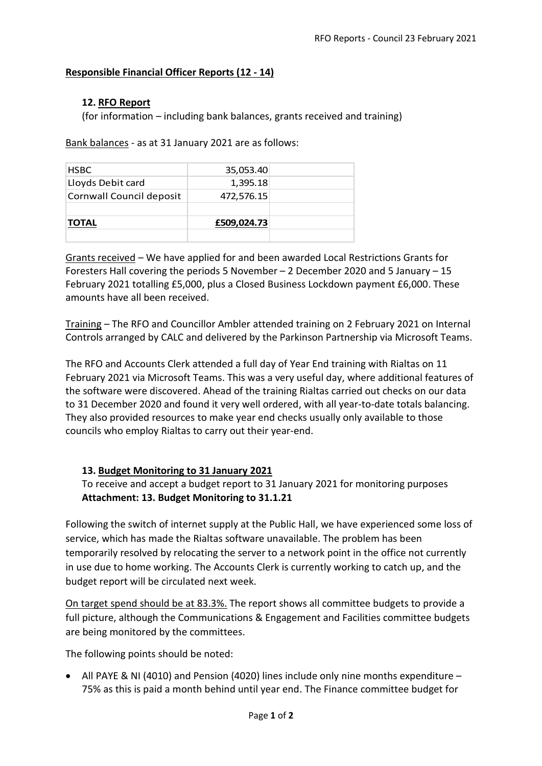# **Responsible Financial Officer Reports (12 - 14)**

# **12. RFO Report**

(for information – including bank balances, grants received and training)

Bank balances - as at 31 January 2021 are as follows:

| <b>HSBC</b>              | 35,053.40   |  |
|--------------------------|-------------|--|
| Lloyds Debit card        | 1,395.18    |  |
| Cornwall Council deposit | 472,576.15  |  |
| <b>TOTAL</b>             | £509,024.73 |  |

Grants received – We have applied for and been awarded Local Restrictions Grants for Foresters Hall covering the periods 5 November – 2 December 2020 and 5 January – 15 February 2021 totalling £5,000, plus a Closed Business Lockdown payment £6,000. These amounts have all been received.

Training – The RFO and Councillor Ambler attended training on 2 February 2021 on Internal Controls arranged by CALC and delivered by the Parkinson Partnership via Microsoft Teams.

The RFO and Accounts Clerk attended a full day of Year End training with Rialtas on 11 February 2021 via Microsoft Teams. This was a very useful day, where additional features of the software were discovered. Ahead of the training Rialtas carried out checks on our data to 31 December 2020 and found it very well ordered, with all year-to-date totals balancing. They also provided resources to make year end checks usually only available to those councils who employ Rialtas to carry out their year-end.

### **13. Budget Monitoring to 31 January 2021**

To receive and accept a budget report to 31 January 2021 for monitoring purposes **Attachment: 13. Budget Monitoring to 31.1.21**

Following the switch of internet supply at the Public Hall, we have experienced some loss of service, which has made the Rialtas software unavailable. The problem has been temporarily resolved by relocating the server to a network point in the office not currently in use due to home working. The Accounts Clerk is currently working to catch up, and the budget report will be circulated next week.

On target spend should be at 83.3%. The report shows all committee budgets to provide a full picture, although the Communications & Engagement and Facilities committee budgets are being monitored by the committees.

The following points should be noted:

• All PAYE & NI (4010) and Pension (4020) lines include only nine months expenditure – 75% as this is paid a month behind until year end. The Finance committee budget for